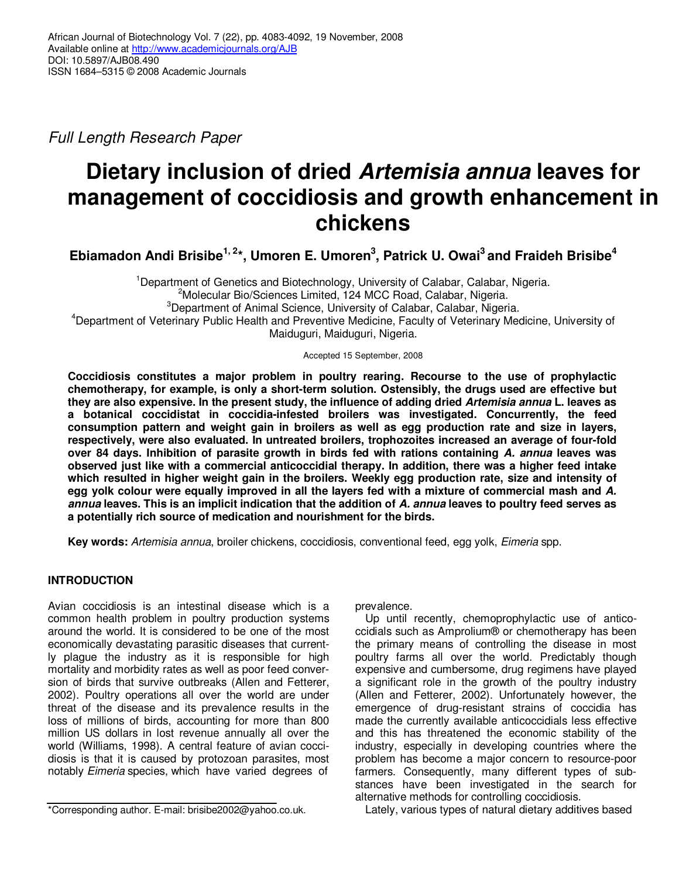Full Length Research Paper

# **Dietary inclusion of dried Artemisia annua leaves for management of coccidiosis and growth enhancement in chickens**

**Ebiamadon Andi Brisibe1, 2\*, Umoren E. Umoren<sup>3</sup> , Patrick U. Owai<sup>3</sup>and Fraideh Brisibe<sup>4</sup>**

<sup>1</sup>Department of Genetics and Biotechnology, University of Calabar, Calabar, Nigeria. <sup>2</sup>Molecular Bio/Sciences Limited, 124 MCC Road, Calabar, Nigeria. <sup>3</sup>Department of Animal Science, University of Calabar, Calabar, Nigeria. <sup>4</sup>Department of Veterinary Public Health and Preventive Medicine, Faculty of Veterinary Medicine, University of Maiduguri, Maiduguri, Nigeria.

Accepted 15 September, 2008

**Coccidiosis constitutes a major problem in poultry rearing. Recourse to the use of prophylactic chemotherapy, for example, is only a short-term solution. Ostensibly, the drugs used are effective but they are also expensive. In the present study, the influence of adding dried Artemisia annua L. leaves as a botanical coccidistat in coccidia-infested broilers was investigated. Concurrently, the feed consumption pattern and weight gain in broilers as well as egg production rate and size in layers, respectively, were also evaluated. In untreated broilers, trophozoites increased an average of four-fold over 84 days. Inhibition of parasite growth in birds fed with rations containing A. annua leaves was observed just like with a commercial anticoccidial therapy. In addition, there was a higher feed intake which resulted in higher weight gain in the broilers. Weekly egg production rate, size and intensity of egg yolk colour were equally improved in all the layers fed with a mixture of commercial mash and A. annua leaves. This is an implicit indication that the addition of A. annua leaves to poultry feed serves as a potentially rich source of medication and nourishment for the birds.** 

**Key words:** Artemisia annua, broiler chickens, coccidiosis, conventional feed, egg yolk, Eimeria spp.

# **INTRODUCTION**

Avian coccidiosis is an intestinal disease which is a common health problem in poultry production systems around the world. It is considered to be one of the most economically devastating parasitic diseases that currently plague the industry as it is responsible for high mortality and morbidity rates as well as poor feed conversion of birds that survive outbreaks (Allen and Fetterer, 2002). Poultry operations all over the world are under threat of the disease and its prevalence results in the loss of millions of birds, accounting for more than 800 million US dollars in lost revenue annually all over the world (Williams, 1998). A central feature of avian coccidiosis is that it is caused by protozoan parasites, most notably Eimeria species, which have varied degrees of

prevalence.

Up until recently, chemoprophylactic use of anticoccidials such as Amprolium® or chemotherapy has been the primary means of controlling the disease in most poultry farms all over the world. Predictably though expensive and cumbersome, drug regimens have played a significant role in the growth of the poultry industry (Allen and Fetterer, 2002). Unfortunately however, the emergence of drug-resistant strains of coccidia has made the currently available anticoccidials less effective and this has threatened the economic stability of the industry, especially in developing countries where the problem has become a major concern to resource-poor farmers. Consequently, many different types of substances have been investigated in the search for alternative methods for controlling coccidiosis.

Lately, various types of natural dietary additives based

<sup>\*</sup>Corresponding author. E-mail: brisibe2002@yahoo.co.uk.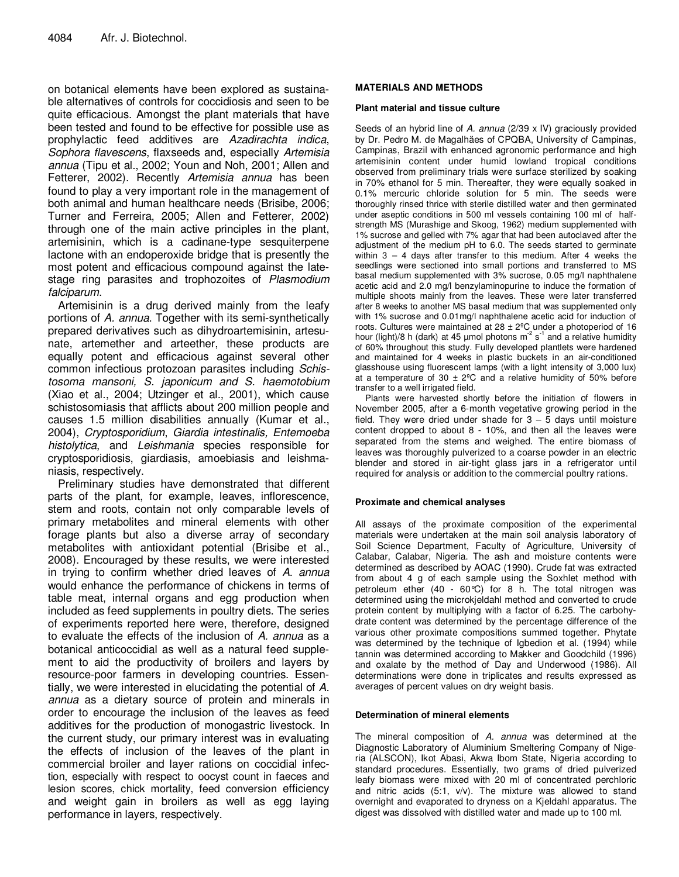on botanical elements have been explored as sustainable alternatives of controls for coccidiosis and seen to be quite efficacious. Amongst the plant materials that have been tested and found to be effective for possible use as prophylactic feed additives are Azadirachta indica, Sophora flavescens, flaxseeds and, especially Artemisia annua (Tipu et al., 2002; Youn and Noh, 2001; Allen and Fetterer, 2002). Recently Artemisia annua has been found to play a very important role in the management of both animal and human healthcare needs (Brisibe, 2006; Turner and Ferreira, 2005; Allen and Fetterer, 2002) through one of the main active principles in the plant, artemisinin, which is a cadinane-type sesquiterpene lactone with an endoperoxide bridge that is presently the most potent and efficacious compound against the latestage ring parasites and trophozoites of Plasmodium falciparum.

Artemisinin is a drug derived mainly from the leafy portions of A. annua. Together with its semi-synthetically prepared derivatives such as dihydroartemisinin, artesunate, artemether and arteether, these products are equally potent and efficacious against several other common infectious protozoan parasites including Schistosoma mansoni, S. japonicum and S. haemotobium (Xiao et al., 2004; Utzinger et al., 2001), which cause schistosomiasis that afflicts about 200 million people and causes 1.5 million disabilities annually (Kumar et al., 2004), Cryptosporidium, Giardia intestinalis, Entemoeba histolytica, and Leishmania species responsible for cryptosporidiosis, giardiasis, amoebiasis and leishmaniasis, respectively.

Preliminary studies have demonstrated that different parts of the plant, for example, leaves, inflorescence, stem and roots, contain not only comparable levels of primary metabolites and mineral elements with other forage plants but also a diverse array of secondary metabolites with antioxidant potential (Brisibe et al., 2008). Encouraged by these results, we were interested in trying to confirm whether dried leaves of A. annua would enhance the performance of chickens in terms of table meat, internal organs and egg production when included as feed supplements in poultry diets. The series of experiments reported here were, therefore, designed to evaluate the effects of the inclusion of A. annua as a botanical anticoccidial as well as a natural feed supplement to aid the productivity of broilers and layers by resource-poor farmers in developing countries. Essentially, we were interested in elucidating the potential of A. annua as a dietary source of protein and minerals in order to encourage the inclusion of the leaves as feed additives for the production of monogastric livestock. In the current study, our primary interest was in evaluating the effects of inclusion of the leaves of the plant in commercial broiler and layer rations on coccidial infection, especially with respect to oocyst count in faeces and lesion scores, chick mortality, feed conversion efficiency and weight gain in broilers as well as egg laying performance in layers, respectively.

## **MATERIALS AND METHODS**

## **Plant material and tissue culture**

Seeds of an hybrid line of A. annua (2/39 x IV) graciously provided by Dr. Pedro M. de Magalhäes of CPQBA, University of Campinas, Campinas, Brazil with enhanced agronomic performance and high artemisinin content under humid lowland tropical conditions observed from preliminary trials were surface sterilized by soaking in 70% ethanol for 5 min. Thereafter, they were equally soaked in 0.1% mercuric chloride solution for 5 min. The seeds were thoroughly rinsed thrice with sterile distilled water and then germinated under aseptic conditions in 500 ml vessels containing 100 ml of halfstrength MS (Murashige and Skoog, 1962) medium supplemented with 1% sucrose and gelled with 7% agar that had been autoclaved after the adjustment of the medium pH to 6.0. The seeds started to germinate within 3 – 4 days after transfer to this medium. After 4 weeks the seedlings were sectioned into small portions and transferred to MS basal medium supplemented with 3% sucrose, 0.05 mg/l naphthalene acetic acid and 2.0 mg/l benzylaminopurine to induce the formation of multiple shoots mainly from the leaves. These were later transferred after 8 weeks to another MS basal medium that was supplemented only with 1% sucrose and 0.01mg/l naphthalene acetic acid for induction of roots. Cultures were maintained at  $28 \pm 2^{\circ}$ C under a photoperiod of 16 hour (light)/8 h (dark) at 45 µmol photons  $m^2 s^1$  and a relative humidity of 60% throughout this study. Fully developed plantlets were hardened and maintained for 4 weeks in plastic buckets in an air-conditioned glasshouse using fluorescent lamps (with a light intensity of 3,000 lux) at a temperature of 30  $\pm$  2°C and a relative humidity of 50% before transfer to a well irrigated field.

Plants were harvested shortly before the initiation of flowers in November 2005, after a 6-month vegetative growing period in the field. They were dried under shade for  $3 - 5$  days until moisture content dropped to about 8 - 10%, and then all the leaves were separated from the stems and weighed. The entire biomass of leaves was thoroughly pulverized to a coarse powder in an electric blender and stored in air-tight glass jars in a refrigerator until required for analysis or addition to the commercial poultry rations.

## **Proximate and chemical analyses**

All assays of the proximate composition of the experimental materials were undertaken at the main soil analysis laboratory of Soil Science Department, Faculty of Agriculture, University of Calabar, Calabar, Nigeria. The ash and moisture contents were determined as described by AOAC (1990). Crude fat was extracted from about 4 g of each sample using the Soxhlet method with petroleum ether (40 - 60°C) for 8 h. The total nitrogen was determined using the microkjeldahl method and converted to crude protein content by multiplying with a factor of 6.25. The carbohydrate content was determined by the percentage difference of the various other proximate compositions summed together. Phytate was determined by the technique of Igbedion et al. (1994) while tannin was determined according to Makker and Goodchild (1996) and oxalate by the method of Day and Underwood (1986). All determinations were done in triplicates and results expressed as averages of percent values on dry weight basis.

## **Determination of mineral elements**

The mineral composition of A. annua was determined at the Diagnostic Laboratory of Aluminium Smeltering Company of Nigeria (ALSCON), Ikot Abasi, Akwa Ibom State, Nigeria according to standard procedures. Essentially, two grams of dried pulverized leafy biomass were mixed with 20 ml of concentrated perchloric and nitric acids (5:1, v/v). The mixture was allowed to stand overnight and evaporated to dryness on a Kjeldahl apparatus. The digest was dissolved with distilled water and made up to 100 ml.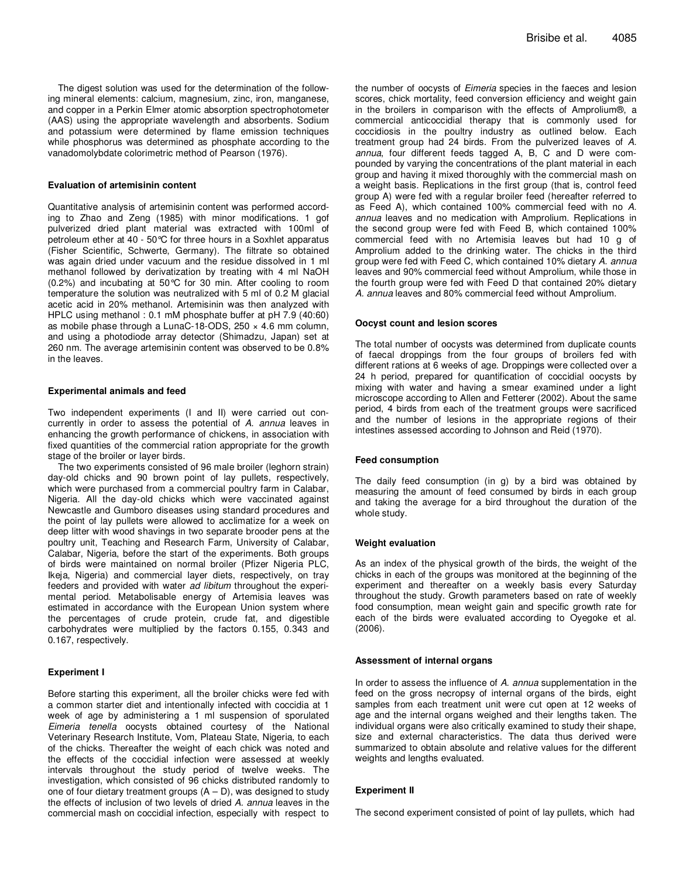The digest solution was used for the determination of the following mineral elements: calcium, magnesium, zinc, iron, manganese, and copper in a Perkin Elmer atomic absorption spectrophotometer (AAS) using the appropriate wavelength and absorbents. Sodium and potassium were determined by flame emission techniques while phosphorus was determined as phosphate according to the vanadomolybdate colorimetric method of Pearson (1976).

#### **Evaluation of artemisinin content**

Quantitative analysis of artemisinin content was performed according to Zhao and Zeng (1985) with minor modifications. 1 gof pulverized dried plant material was extracted with 100ml of petroleum ether at 40 - 50°C for three hours in a Soxhlet apparatus (Fisher Scientific, Schwerte, Germany). The filtrate so obtained was again dried under vacuum and the residue dissolved in 1 ml methanol followed by derivatization by treating with 4 ml NaOH (0.2%) and incubating at 50°C for 30 min. After cooling to room temperature the solution was neutralized with 5 ml of 0.2 M glacial acetic acid in 20% methanol. Artemisinin was then analyzed with HPLC using methanol : 0.1 mM phosphate buffer at pH 7.9 (40:60) as mobile phase through a LunaC-18-ODS,  $250 \times 4.6$  mm column, and using a photodiode array detector (Shimadzu, Japan) set at 260 nm. The average artemisinin content was observed to be 0.8% in the leaves.

#### **Experimental animals and feed**

Two independent experiments (I and II) were carried out concurrently in order to assess the potential of A. annua leaves in enhancing the growth performance of chickens, in association with fixed quantities of the commercial ration appropriate for the growth stage of the broiler or layer birds.

The two experiments consisted of 96 male broiler (leghorn strain) day-old chicks and 90 brown point of lay pullets, respectively, which were purchased from a commercial poultry farm in Calabar, Nigeria. All the day-old chicks which were vaccinated against Newcastle and Gumboro diseases using standard procedures and the point of lay pullets were allowed to acclimatize for a week on deep litter with wood shavings in two separate brooder pens at the poultry unit, Teaching and Research Farm, University of Calabar, Calabar, Nigeria, before the start of the experiments. Both groups of birds were maintained on normal broiler (Pfizer Nigeria PLC, Ikeja, Nigeria) and commercial layer diets, respectively, on tray feeders and provided with water ad libitum throughout the experimental period. Metabolisable energy of Artemisia leaves was estimated in accordance with the European Union system where the percentages of crude protein, crude fat, and digestible carbohydrates were multiplied by the factors 0.155, 0.343 and 0.167, respectively.

#### **Experiment I**

Before starting this experiment, all the broiler chicks were fed with a common starter diet and intentionally infected with coccidia at 1 week of age by administering a 1 ml suspension of sporulated Eimeria tenella oocysts obtained courtesy of the National Veterinary Research Institute, Vom, Plateau State, Nigeria, to each of the chicks. Thereafter the weight of each chick was noted and the effects of the coccidial infection were assessed at weekly intervals throughout the study period of twelve weeks. The investigation, which consisted of 96 chicks distributed randomly to one of four dietary treatment groups  $(A - D)$ , was designed to study the effects of inclusion of two levels of dried A. annua leaves in the commercial mash on coccidial infection, especially with respect to

the number of oocysts of Eimeria species in the faeces and lesion scores, chick mortality, feed conversion efficiency and weight gain in the broilers in comparison with the effects of Amprolium®, a commercial anticoccidial therapy that is commonly used for coccidiosis in the poultry industry as outlined below. Each treatment group had 24 birds. From the pulverized leaves of A. annua, four different feeds tagged A, B, C and D were compounded by varying the concentrations of the plant material in each group and having it mixed thoroughly with the commercial mash on a weight basis. Replications in the first group (that is, control feed group A) were fed with a regular broiler feed (hereafter referred to as Feed A), which contained 100% commercial feed with no A. annua leaves and no medication with Amprolium. Replications in the second group were fed with Feed B, which contained 100% commercial feed with no Artemisia leaves but had 10 g of Amprolium added to the drinking water. The chicks in the third group were fed with Feed C, which contained 10% dietary A. annua leaves and 90% commercial feed without Amprolium, while those in the fourth group were fed with Feed D that contained 20% dietary A. annua leaves and 80% commercial feed without Amprolium.

#### **Oocyst count and lesion scores**

The total number of oocysts was determined from duplicate counts of faecal droppings from the four groups of broilers fed with different rations at 6 weeks of age. Droppings were collected over a 24 h period, prepared for quantification of coccidial oocysts by mixing with water and having a smear examined under a light microscope according to Allen and Fetterer (2002). About the same period, 4 birds from each of the treatment groups were sacrificed and the number of lesions in the appropriate regions of their intestines assessed according to Johnson and Reid (1970).

#### **Feed consumption**

The daily feed consumption (in g) by a bird was obtained by measuring the amount of feed consumed by birds in each group and taking the average for a bird throughout the duration of the whole study.

#### **Weight evaluation**

As an index of the physical growth of the birds, the weight of the chicks in each of the groups was monitored at the beginning of the experiment and thereafter on a weekly basis every Saturday throughout the study. Growth parameters based on rate of weekly food consumption, mean weight gain and specific growth rate for each of the birds were evaluated according to Oyegoke et al. (2006).

#### **Assessment of internal organs**

In order to assess the influence of A. annua supplementation in the feed on the gross necropsy of internal organs of the birds, eight samples from each treatment unit were cut open at 12 weeks of age and the internal organs weighed and their lengths taken. The individual organs were also critically examined to study their shape, size and external characteristics. The data thus derived were summarized to obtain absolute and relative values for the different weights and lengths evaluated.

#### **Experiment II**

The second experiment consisted of point of lay pullets, which had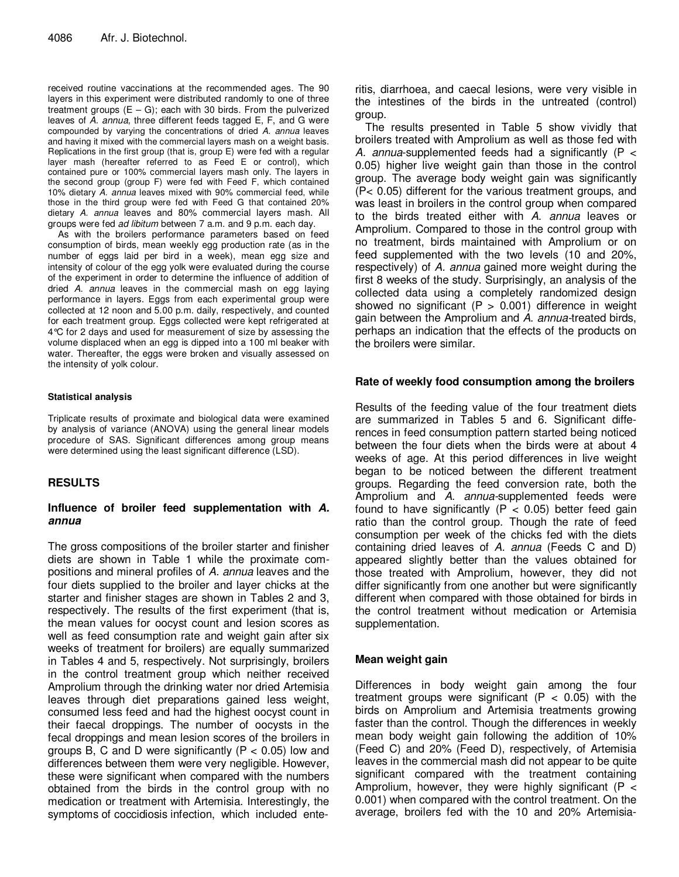received routine vaccinations at the recommended ages. The 90 layers in this experiment were distributed randomly to one of three treatment groups  $(E - G)$ ; each with 30 birds. From the pulverized leaves of A. annua, three different feeds tagged E, F, and G were compounded by varying the concentrations of dried A. annua leaves and having it mixed with the commercial layers mash on a weight basis. Replications in the first group (that is, group E) were fed with a regular layer mash (hereafter referred to as Feed E or control), which contained pure or 100% commercial layers mash only. The layers in the second group (group F) were fed with Feed F, which contained 10% dietary A. annua leaves mixed with 90% commercial feed, while those in the third group were fed with Feed G that contained 20% dietary A. annua leaves and 80% commercial layers mash. All groups were fed ad libitum between 7 a.m. and 9 p.m. each day.

As with the broilers performance parameters based on feed consumption of birds, mean weekly egg production rate (as in the number of eggs laid per bird in a week), mean egg size and intensity of colour of the egg yolk were evaluated during the course of the experiment in order to determine the influence of addition of dried A. annua leaves in the commercial mash on egg laying performance in layers. Eggs from each experimental group were collected at 12 noon and 5.00 p.m. daily, respectively, and counted for each treatment group. Eggs collected were kept refrigerated at 4°C for 2 days and used for measurement of size by assessing the volume displaced when an egg is dipped into a 100 ml beaker with water. Thereafter, the eggs were broken and visually assessed on the intensity of yolk colour.

## **Statistical analysis**

Triplicate results of proximate and biological data were examined by analysis of variance (ANOVA) using the general linear models procedure of SAS. Significant differences among group means were determined using the least significant difference (LSD).

# **RESULTS**

## **Influence of broiler feed supplementation with A. annua**

The gross compositions of the broiler starter and finisher diets are shown in Table 1 while the proximate compositions and mineral profiles of A. annua leaves and the four diets supplied to the broiler and layer chicks at the starter and finisher stages are shown in Tables 2 and 3, respectively. The results of the first experiment (that is, the mean values for oocyst count and lesion scores as well as feed consumption rate and weight gain after six weeks of treatment for broilers) are equally summarized in Tables 4 and 5, respectively. Not surprisingly, broilers in the control treatment group which neither received Amprolium through the drinking water nor dried Artemisia leaves through diet preparations gained less weight, consumed less feed and had the highest oocyst count in their faecal droppings. The number of oocysts in the fecal droppings and mean lesion scores of the broilers in groups B, C and D were significantly ( $P < 0.05$ ) low and differences between them were very negligible. However, these were significant when compared with the numbers obtained from the birds in the control group with no medication or treatment with Artemisia. Interestingly, the symptoms of coccidiosis infection, which included enteritis, diarrhoea, and caecal lesions, were very visible in the intestines of the birds in the untreated (control) group.

The results presented in Table 5 show vividly that broilers treated with Amprolium as well as those fed with A. annua-supplemented feeds had a significantly ( $P \lt \theta$ 0.05) higher live weight gain than those in the control group. The average body weight gain was significantly (P< 0.05) different for the various treatment groups, and was least in broilers in the control group when compared to the birds treated either with A. annua leaves or Amprolium. Compared to those in the control group with no treatment, birds maintained with Amprolium or on feed supplemented with the two levels (10 and 20%, respectively) of A. annua gained more weight during the first 8 weeks of the study. Surprisingly, an analysis of the collected data using a completely randomized design showed no significant ( $P > 0.001$ ) difference in weight gain between the Amprolium and A. annua-treated birds, perhaps an indication that the effects of the products on the broilers were similar.

## **Rate of weekly food consumption among the broilers**

Results of the feeding value of the four treatment diets are summarized in Tables 5 and 6. Significant differences in feed consumption pattern started being noticed between the four diets when the birds were at about 4 weeks of age. At this period differences in live weight began to be noticed between the different treatment groups. Regarding the feed conversion rate, both the Amprolium and A. annua-supplemented feeds were found to have significantly ( $P < 0.05$ ) better feed gain ratio than the control group. Though the rate of feed consumption per week of the chicks fed with the diets containing dried leaves of A. annua (Feeds C and D) appeared slightly better than the values obtained for those treated with Amprolium, however, they did not differ significantly from one another but were significantly different when compared with those obtained for birds in the control treatment without medication or Artemisia supplementation.

## **Mean weight gain**

Differences in body weight gain among the four treatment groups were significant  $(P < 0.05)$  with the birds on Amprolium and Artemisia treatments growing faster than the control. Though the differences in weekly mean body weight gain following the addition of 10% (Feed C) and 20% (Feed D), respectively, of Artemisia leaves in the commercial mash did not appear to be quite significant compared with the treatment containing Amprolium, however, they were highly significant ( $P <$ 0.001) when compared with the control treatment. On the average, broilers fed with the 10 and 20% Artemisia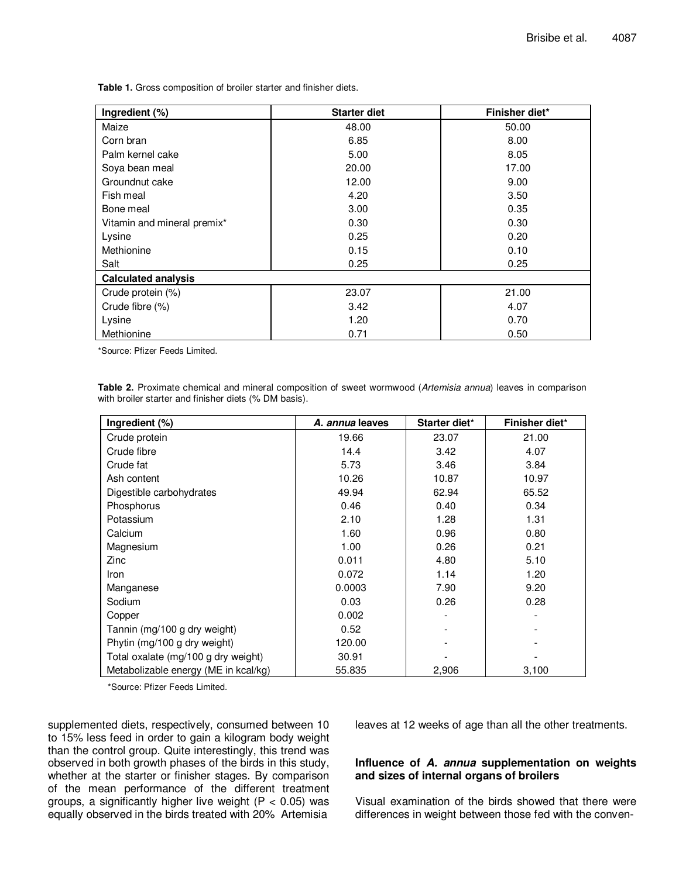**Table 1.** Gross composition of broiler starter and finisher diets.

| Ingredient (%)              | <b>Starter diet</b> | Finisher diet* |  |  |
|-----------------------------|---------------------|----------------|--|--|
| Maize                       | 48.00               | 50.00          |  |  |
| Corn bran                   | 6.85                | 8.00           |  |  |
| Palm kernel cake            | 5.00                | 8.05           |  |  |
| Soya bean meal              | 20.00               | 17.00          |  |  |
| Groundnut cake              | 12.00               | 9.00           |  |  |
| Fish meal                   | 4.20                | 3.50           |  |  |
| Bone meal                   | 3.00                | 0.35           |  |  |
| Vitamin and mineral premix* | 0.30                | 0.30           |  |  |
| Lysine                      | 0.25                | 0.20           |  |  |
| Methionine                  | 0.15                | 0.10           |  |  |
| Salt                        | 0.25                | 0.25           |  |  |
| <b>Calculated analysis</b>  |                     |                |  |  |
| Crude protein (%)           | 23.07               | 21.00          |  |  |
| Crude fibre (%)             | 3.42                | 4.07           |  |  |
| Lysine                      | 1.20                | 0.70           |  |  |
| Methionine                  | 0.71                | 0.50           |  |  |

\*Source: Pfizer Feeds Limited.

Table 2. Proximate chemical and mineral composition of sweet wormwood (Artemisia annua) leaves in comparison with broiler starter and finisher diets (% DM basis).

| Ingredient (%)                       | A. annua leaves | Starter diet* | Finisher diet* |
|--------------------------------------|-----------------|---------------|----------------|
| Crude protein                        | 19.66           | 23.07         | 21.00          |
| Crude fibre                          | 14.4            | 3.42          | 4.07           |
| Crude fat                            | 5.73            | 3.46          | 3.84           |
| Ash content                          | 10.26           | 10.87         | 10.97          |
| Digestible carbohydrates             | 49.94           | 62.94         | 65.52          |
| Phosphorus                           | 0.46            | 0.40          | 0.34           |
| Potassium                            | 2.10            | 1.28          | 1.31           |
| Calcium                              | 1.60            | 0.96          | 0.80           |
| Magnesium                            | 1.00            | 0.26          | 0.21           |
| Zinc                                 | 0.011           | 4.80          | 5.10           |
| Iron                                 | 0.072           | 1.14          | 1.20           |
| Manganese                            | 0.0003          | 7.90          | 9.20           |
| Sodium                               | 0.03            | 0.26          | 0.28           |
| Copper                               | 0.002           |               |                |
| Tannin (mg/100 g dry weight)         | 0.52            |               |                |
| Phytin (mg/100 g dry weight)         | 120.00          |               |                |
| Total oxalate (mg/100 g dry weight)  | 30.91           |               |                |
| Metabolizable energy (ME in kcal/kg) | 55.835          | 2,906         | 3,100          |

\*Source: Pfizer Feeds Limited.

supplemented diets, respectively, consumed between 10 to 15% less feed in order to gain a kilogram body weight than the control group. Quite interestingly, this trend was observed in both growth phases of the birds in this study, whether at the starter or finisher stages. By comparison of the mean performance of the different treatment groups, a significantly higher live weight ( $P < 0.05$ ) was equally observed in the birds treated with 20% Artemisia

leaves at 12 weeks of age than all the other treatments.

## **Influence of A. annua supplementation on weights and sizes of internal organs of broilers**

Visual examination of the birds showed that there were differences in weight between those fed with the conven-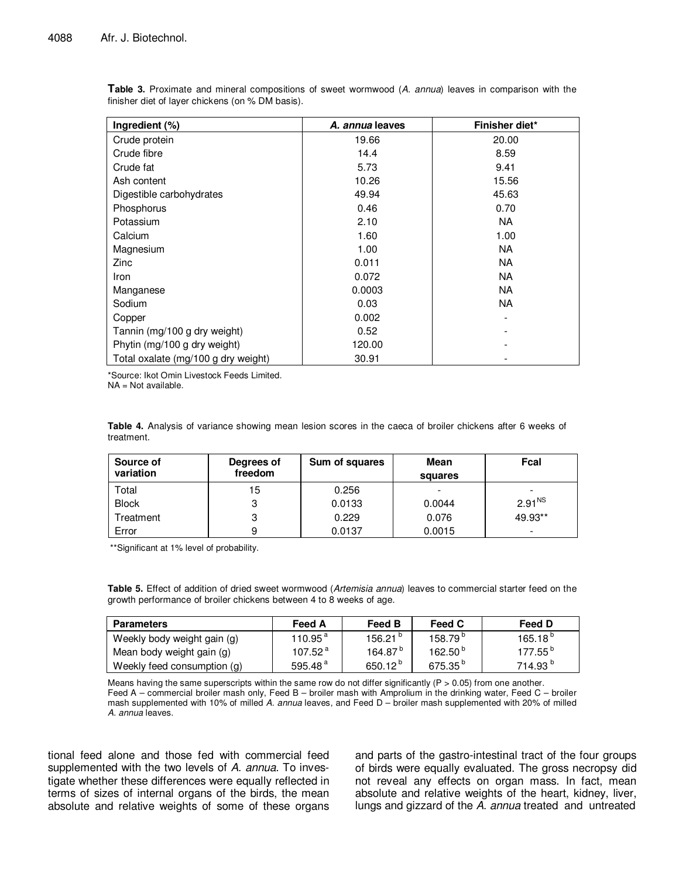| Ingredient (%)                      | A. annua leaves | Finisher diet* |
|-------------------------------------|-----------------|----------------|
| Crude protein                       | 19.66           | 20.00          |
| Crude fibre                         | 14.4            | 8.59           |
| Crude fat                           | 5.73            | 9.41           |
| Ash content                         | 10.26           | 15.56          |
| Digestible carbohydrates            | 49.94           | 45.63          |
| Phosphorus                          | 0.46            | 0.70           |
| Potassium                           | 2.10            | NA.            |
| Calcium                             | 1.60            | 1.00           |
| Magnesium                           | 1.00            | <b>NA</b>      |
| Zinc                                | 0.011           | NA.            |
| Iron                                | 0.072           | <b>NA</b>      |
| Manganese                           | 0.0003          | NA.            |
| Sodium                              | 0.03            | <b>NA</b>      |
| Copper                              | 0.002           |                |
| Tannin (mg/100 g dry weight)        | 0.52            |                |
| Phytin (mg/100 g dry weight)        | 120.00          |                |
| Total oxalate (mg/100 g dry weight) | 30.91           |                |

**Table 3.** Proximate and mineral compositions of sweet wormwood (A. annua) leaves in comparison with the finisher diet of layer chickens (on % DM basis).

\*Source: Ikot Omin Livestock Feeds Limited. NA = Not available.

**Table 4.** Analysis of variance showing mean lesion scores in the caeca of broiler chickens after 6 weeks of treatment.

| Source of<br>variation | Degrees of<br>freedom | Sum of squares | Mean<br>squares | Fcal                     |
|------------------------|-----------------------|----------------|-----------------|--------------------------|
| Total                  | 15                    | 0.256          | -               | -                        |
| <b>Block</b>           |                       | 0.0133         | 0.0044          | 2.91 <sup>NS</sup>       |
| <sup>r</sup> eatment   |                       | 0.229          | 0.076           | 49.93**                  |
| Error                  |                       | 0.0137         | 0.0015          | $\overline{\phantom{a}}$ |

\*\*Significant at 1% level of probability.

**Table 5.** Effect of addition of dried sweet wormwood (Artemisia annua) leaves to commercial starter feed on the growth performance of broiler chickens between 4 to 8 weeks of age.

| <b>Parameters</b>           | Feed A               | <b>Feed B</b>       | Feed C              | Feed D              |
|-----------------------------|----------------------|---------------------|---------------------|---------------------|
| Weekly body weight gain (g) | $110.95^{\text{ a}}$ | 156.21 <sup>b</sup> | 158.79 <sup>p</sup> | 165.18 <sup>b</sup> |
| Mean body weight gain (g)   | 107.52 <sup>4</sup>  | 164.87 <sup>b</sup> | 162.50 <sup>b</sup> | $177.55^{\circ}$    |
| Weekly feed consumption (g) | 595.48 $a$           | 650.12 $b$          | $675.35^{\circ}$    | 714.93 <sup>b</sup> |

Means having the same superscripts within the same row do not differ significantly  $(P > 0.05)$  from one another. Feed A – commercial broiler mash only, Feed B – broiler mash with Amprolium in the drinking water, Feed C – broiler mash supplemented with 10% of milled A. annua leaves, and Feed D – broiler mash supplemented with 20% of milled A. annua leaves.

tional feed alone and those fed with commercial feed supplemented with the two levels of A. annua. To investigate whether these differences were equally reflected in terms of sizes of internal organs of the birds, the mean absolute and relative weights of some of these organs

and parts of the gastro-intestinal tract of the four groups of birds were equally evaluated. The gross necropsy did not reveal any effects on organ mass. In fact, mean absolute and relative weights of the heart, kidney, liver, lungs and gizzard of the A. annua treated and untreated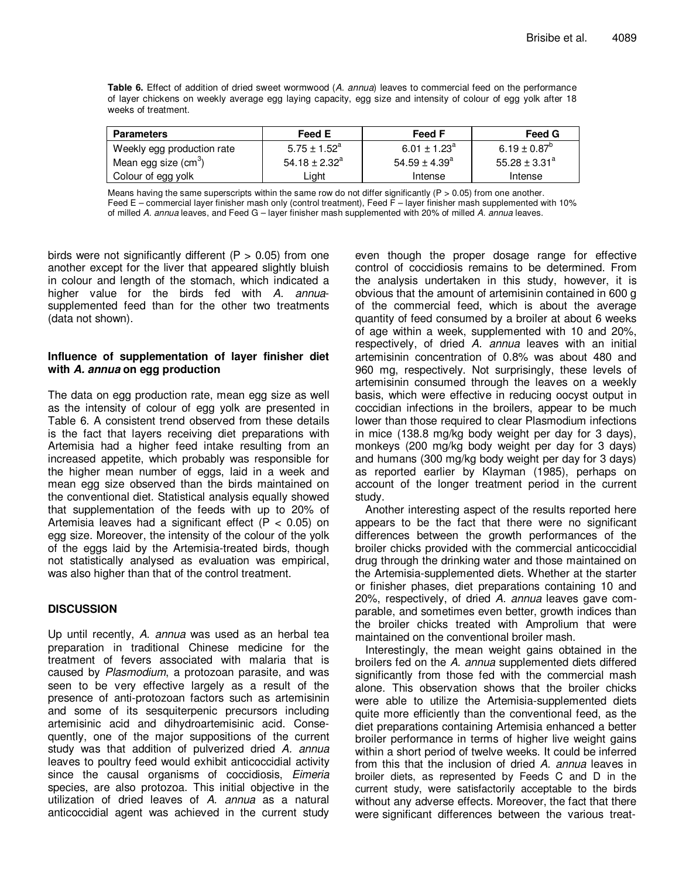**Table 6.** Effect of addition of dried sweet wormwood (A. annua) leaves to commercial feed on the performance of layer chickens on weekly average egg laying capacity, egg size and intensity of colour of egg yolk after 18 weeks of treatment.

| <b>Parameters</b>                | Feed E                     | <b>Feed F</b>                | Feed G                |
|----------------------------------|----------------------------|------------------------------|-----------------------|
| Weekly egg production rate       | $5.75 \pm 1.52^{\text{a}}$ | 6.01 $\pm$ 1.23 <sup>a</sup> | 6.19 ± $0.87^{\circ}$ |
| Mean egg size (cm <sup>3</sup> ) | $54.18 \pm 2.32^a$         | $54.59 \pm 4.39^{\circ}$     | $55.28 \pm 3.31^a$    |
| Colour of egg yolk               | ∟ight                      | Intense                      | Intense               |

Means having the same superscripts within the same row do not differ significantly ( $P > 0.05$ ) from one another. Feed E – commercial layer finisher mash only (control treatment), Feed F – layer finisher mash supplemented with 10% of milled A. annua leaves, and Feed G – layer finisher mash supplemented with 20% of milled A. annua leaves.

birds were not significantly different ( $P > 0.05$ ) from one another except for the liver that appeared slightly bluish in colour and length of the stomach, which indicated a higher value for the birds fed with A. annuasupplemented feed than for the other two treatments (data not shown).

## **Influence of supplementation of layer finisher diet with A. annua on egg production**

The data on egg production rate, mean egg size as well as the intensity of colour of egg yolk are presented in Table 6. A consistent trend observed from these details is the fact that layers receiving diet preparations with Artemisia had a higher feed intake resulting from an increased appetite, which probably was responsible for the higher mean number of eggs, laid in a week and mean egg size observed than the birds maintained on the conventional diet. Statistical analysis equally showed that supplementation of the feeds with up to 20% of Artemisia leaves had a significant effect ( $P < 0.05$ ) on egg size. Moreover, the intensity of the colour of the yolk of the eggs laid by the Artemisia-treated birds, though not statistically analysed as evaluation was empirical, was also higher than that of the control treatment.

# **DISCUSSION**

Up until recently, A. annua was used as an herbal tea preparation in traditional Chinese medicine for the treatment of fevers associated with malaria that is caused by Plasmodium, a protozoan parasite, and was seen to be very effective largely as a result of the presence of anti-protozoan factors such as artemisinin and some of its sesquiterpenic precursors including artemisinic acid and dihydroartemisinic acid. Consequently, one of the major suppositions of the current study was that addition of pulverized dried A. annua leaves to poultry feed would exhibit anticoccidial activity since the causal organisms of coccidiosis, Eimeria species, are also protozoa. This initial objective in the utilization of dried leaves of A. annua as a natural anticoccidial agent was achieved in the current study

even though the proper dosage range for effective control of coccidiosis remains to be determined. From the analysis undertaken in this study, however, it is obvious that the amount of artemisinin contained in 600 g of the commercial feed, which is about the average quantity of feed consumed by a broiler at about 6 weeks of age within a week, supplemented with 10 and 20%, respectively, of dried A. annua leaves with an initial artemisinin concentration of 0.8% was about 480 and 960 mg, respectively. Not surprisingly, these levels of artemisinin consumed through the leaves on a weekly basis, which were effective in reducing oocyst output in coccidian infections in the broilers, appear to be much lower than those required to clear Plasmodium infections in mice (138.8 mg/kg body weight per day for 3 days), monkeys (200 mg/kg body weight per day for 3 days) and humans (300 mg/kg body weight per day for 3 days) as reported earlier by Klayman (1985), perhaps on account of the longer treatment period in the current study.

Another interesting aspect of the results reported here appears to be the fact that there were no significant differences between the growth performances of the broiler chicks provided with the commercial anticoccidial drug through the drinking water and those maintained on the Artemisia-supplemented diets. Whether at the starter or finisher phases, diet preparations containing 10 and 20%, respectively, of dried A. annua leaves gave comparable, and sometimes even better, growth indices than the broiler chicks treated with Amprolium that were maintained on the conventional broiler mash.

Interestingly, the mean weight gains obtained in the broilers fed on the A. annua supplemented diets differed significantly from those fed with the commercial mash alone. This observation shows that the broiler chicks were able to utilize the Artemisia-supplemented diets quite more efficiently than the conventional feed, as the diet preparations containing Artemisia enhanced a better broiler performance in terms of higher live weight gains within a short period of twelve weeks. It could be inferred from this that the inclusion of dried A. annua leaves in broiler diets, as represented by Feeds C and D in the current study, were satisfactorily acceptable to the birds without any adverse effects. Moreover, the fact that there were significant differences between the various treat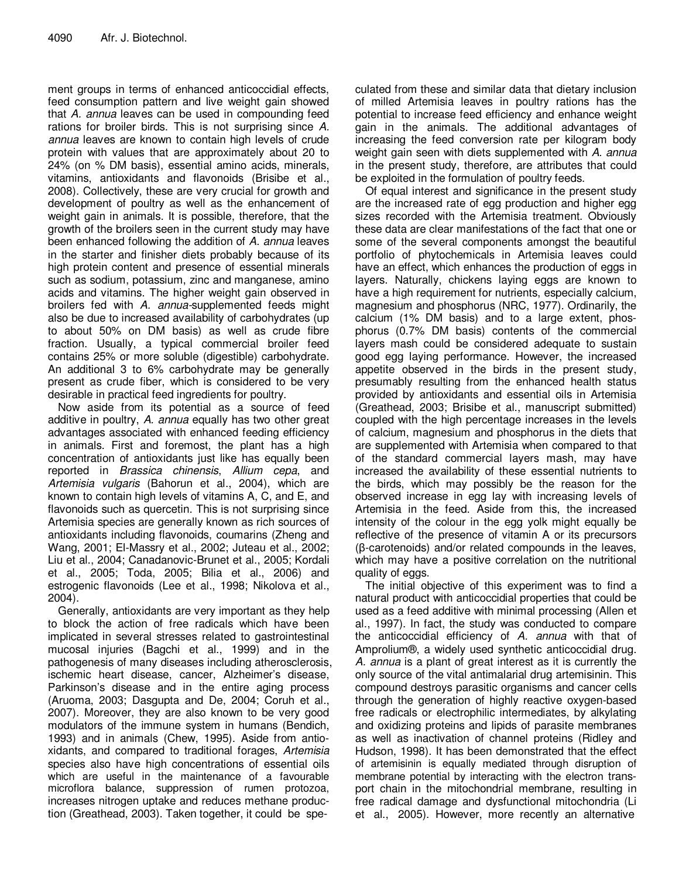ment groups in terms of enhanced anticoccidial effects, feed consumption pattern and live weight gain showed that A. annua leaves can be used in compounding feed rations for broiler birds. This is not surprising since A. annua leaves are known to contain high levels of crude protein with values that are approximately about 20 to 24% (on % DM basis), essential amino acids, minerals, vitamins, antioxidants and flavonoids (Brisibe et al., 2008). Collectively, these are very crucial for growth and development of poultry as well as the enhancement of weight gain in animals. It is possible, therefore, that the growth of the broilers seen in the current study may have been enhanced following the addition of A. annua leaves in the starter and finisher diets probably because of its high protein content and presence of essential minerals such as sodium, potassium, zinc and manganese, amino acids and vitamins. The higher weight gain observed in broilers fed with A. annua-supplemented feeds might also be due to increased availability of carbohydrates (up to about 50% on DM basis) as well as crude fibre fraction. Usually, a typical commercial broiler feed contains 25% or more soluble (digestible) carbohydrate. An additional 3 to 6% carbohydrate may be generally present as crude fiber, which is considered to be very desirable in practical feed ingredients for poultry.

Now aside from its potential as a source of feed additive in poultry, A. annua equally has two other great advantages associated with enhanced feeding efficiency in animals. First and foremost, the plant has a high concentration of antioxidants just like has equally been reported in Brassica chinensis, Allium cepa, and Artemisia vulgaris (Bahorun et al., 2004), which are known to contain high levels of vitamins A, C, and E, and flavonoids such as quercetin. This is not surprising since Artemisia species are generally known as rich sources of antioxidants including flavonoids, coumarins (Zheng and Wang, 2001; El-Massry et al., 2002; Juteau et al., 2002; Liu et al., 2004; Canadanovic-Brunet et al., 2005; Kordali et al., 2005; Toda, 2005; Bilia et al., 2006) and estrogenic flavonoids (Lee et al., 1998; Nikolova et al., 2004).

Generally, antioxidants are very important as they help to block the action of free radicals which have been implicated in several stresses related to gastrointestinal mucosal injuries (Bagchi et al., 1999) and in the pathogenesis of many diseases including atherosclerosis, ischemic heart disease, cancer, Alzheimer's disease, Parkinson's disease and in the entire aging process (Aruoma, 2003; Dasgupta and De, 2004; Coruh et al., 2007). Moreover, they are also known to be very good modulators of the immune system in humans (Bendich, 1993) and in animals (Chew, 1995). Aside from antioxidants, and compared to traditional forages, Artemisia species also have high concentrations of essential oils which are useful in the maintenance of a favourable microflora balance, suppression of rumen protozoa, increases nitrogen uptake and reduces methane production (Greathead, 2003). Taken together, it could be spe-

culated from these and similar data that dietary inclusion of milled Artemisia leaves in poultry rations has the potential to increase feed efficiency and enhance weight gain in the animals. The additional advantages of increasing the feed conversion rate per kilogram body weight gain seen with diets supplemented with A. annua in the present study, therefore, are attributes that could be exploited in the formulation of poultry feeds.

Of equal interest and significance in the present study are the increased rate of egg production and higher egg sizes recorded with the Artemisia treatment. Obviously these data are clear manifestations of the fact that one or some of the several components amongst the beautiful portfolio of phytochemicals in Artemisia leaves could have an effect, which enhances the production of eggs in layers. Naturally, chickens laying eggs are known to have a high requirement for nutrients, especially calcium, magnesium and phosphorus (NRC, 1977). Ordinarily, the calcium (1% DM basis) and to a large extent, phosphorus (0.7% DM basis) contents of the commercial layers mash could be considered adequate to sustain good egg laying performance. However, the increased appetite observed in the birds in the present study, presumably resulting from the enhanced health status provided by antioxidants and essential oils in Artemisia (Greathead, 2003; Brisibe et al., manuscript submitted) coupled with the high percentage increases in the levels of calcium, magnesium and phosphorus in the diets that are supplemented with Artemisia when compared to that of the standard commercial layers mash, may have increased the availability of these essential nutrients to the birds, which may possibly be the reason for the observed increase in egg lay with increasing levels of Artemisia in the feed. Aside from this, the increased intensity of the colour in the egg yolk might equally be reflective of the presence of vitamin A or its precursors (β-carotenoids) and/or related compounds in the leaves, which may have a positive correlation on the nutritional quality of eggs.

The initial objective of this experiment was to find a natural product with anticoccidial properties that could be used as a feed additive with minimal processing (Allen et al., 1997). In fact, the study was conducted to compare the anticoccidial efficiency of A. annua with that of Amprolium®, a widely used synthetic anticoccidial drug. A. annua is a plant of great interest as it is currently the only source of the vital antimalarial drug artemisinin. This compound destroys parasitic organisms and cancer cells through the generation of highly reactive oxygen-based free radicals or electrophilic intermediates, by alkylating and oxidizing proteins and lipids of parasite membranes as well as inactivation of channel proteins (Ridley and Hudson, 1998). It has been demonstrated that the effect of artemisinin is equally mediated through disruption of membrane potential by interacting with the electron transport chain in the mitochondrial membrane, resulting in free radical damage and dysfunctional mitochondria (Li et al., 2005). However, more recently an alternative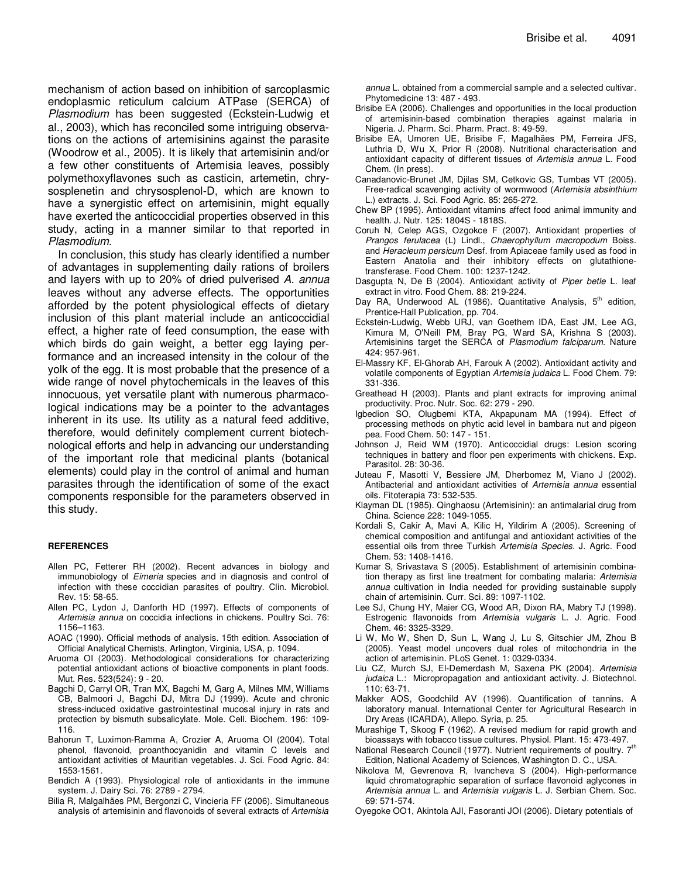mechanism of action based on inhibition of sarcoplasmic endoplasmic reticulum calcium ATPase (SERCA) of Plasmodium has been suggested (Eckstein-Ludwig et al., 2003), which has reconciled some intriguing observations on the actions of artemisinins against the parasite (Woodrow et al., 2005). It is likely that artemisinin and/or a few other constituents of Artemisia leaves, possibly polymethoxyflavones such as casticin, artemetin, chrysosplenetin and chrysosplenol-D, which are known to have a synergistic effect on artemisinin, might equally have exerted the anticoccidial properties observed in this study, acting in a manner similar to that reported in Plasmodium.

In conclusion, this study has clearly identified a number of advantages in supplementing daily rations of broilers and layers with up to 20% of dried pulverised A. annua leaves without any adverse effects. The opportunities afforded by the potent physiological effects of dietary inclusion of this plant material include an anticoccidial effect, a higher rate of feed consumption, the ease with which birds do gain weight, a better egg laying performance and an increased intensity in the colour of the yolk of the egg. It is most probable that the presence of a wide range of novel phytochemicals in the leaves of this innocuous, yet versatile plant with numerous pharmacological indications may be a pointer to the advantages inherent in its use. Its utility as a natural feed additive, therefore, would definitely complement current biotechnological efforts and help in advancing our understanding of the important role that medicinal plants (botanical elements) could play in the control of animal and human parasites through the identification of some of the exact components responsible for the parameters observed in this study.

#### **REFERENCES**

- Allen PC, Fetterer RH (2002). Recent advances in biology and immunobiology of Eimeria species and in diagnosis and control of infection with these coccidian parasites of poultry. Clin. Microbiol. Rev. 15: 58-65.
- Allen PC, Lydon J, Danforth HD (1997). Effects of components of Artemisia annua on coccidia infections in chickens. Poultry Sci. 76: 1156–1163.
- AOAC (1990). Official methods of analysis. 15th edition. Association of Official Analytical Chemists, Arlington, Virginia, USA, p. 1094.
- Aruoma OI (2003). Methodological considerations for characterizing potential antioxidant actions of bioactive components in plant foods. Mut. Res. 523(524): 9 - 20.
- Bagchi D, Carryl OR, Tran MX, Bagchi M, Garg A, Milnes MM, Williams CB, Balmoori J, Bagchi DJ, Mitra DJ (1999). Acute and chronic stress-induced oxidative gastrointestinal mucosal injury in rats and protection by bismuth subsalicylate. Mole. Cell. Biochem. 196: 109- 116.
- Bahorun T, Luximon-Ramma A, Crozier A, Aruoma OI (2004). Total phenol, flavonoid, proanthocyanidin and vitamin C levels and antioxidant activities of Mauritian vegetables. J. Sci. Food Agric. 84: 1553-1561.
- Bendich A (1993). Physiological role of antioxidants in the immune system. J. Dairy Sci. 76: 2789 - 2794.
- Bilia R, Malgalhães PM, Bergonzi C, Vincieria FF (2006). Simultaneous analysis of artemisinin and flavonoids of several extracts of Artemisia

annua L. obtained from a commercial sample and a selected cultivar. Phytomedicine 13: 487 - 493.

- Brisibe EA (2006). Challenges and opportunities in the local production of artemisinin-based combination therapies against malaria in Nigeria. J. Pharm. Sci. Pharm. Pract. 8: 49-59.
- Brisibe EA, Umoren UE, Brisibe F, Magalhäes PM, Ferreira JFS, Luthria D, Wu X, Prior R (2008). Nutritional characterisation and antioxidant capacity of different tissues of Artemisia annua L. Food Chem. (In press).
- Canadanovic-Brunet JM, Djilas SM, Cetkovic GS, Tumbas VT (2005). Free-radical scavenging activity of wormwood (Artemisia absinthium L.) extracts. J. Sci. Food Agric. 85: 265-272.
- Chew BP (1995). Antioxidant vitamins affect food animal immunity and health. J. Nutr. 125: 1804S - 1818S.
- Coruh N, Celep AGS, Ozgokce F (2007). Antioxidant properties of Prangos ferulacea (L) Lindl., Chaerophyllum macropodum Boiss. and Heracleum persicum Desf. from Apiaceae family used as food in Eastern Anatolia and their inhibitory effects on glutathionetransferase. Food Chem. 100: 1237-1242.
- Dasgupta N, De B (2004). Antioxidant activity of Piper betle L. leaf extract in vitro. Food Chem. 88: 219-224.
- Day RA, Underwood AL (1986). Quantitative Analysis,  $5<sup>th</sup>$  edition, Prentice-Hall Publication, pp. 704.
- Eckstein-Ludwig, Webb URJ, van Goethem IDA, East JM, Lee AG, Kimura M, O'Neill PM, Bray PG, Ward SA, Krishna S (2003). Artemisinins target the SERCA of Plasmodium falciparum. Nature 424: 957-961.
- El-Massry KF, El-Ghorab AH, Farouk A (2002). Antioxidant activity and volatile components of Egyptian Artemisia judaica L. Food Chem. 79: 331-336.
- Greathead H (2003). Plants and plant extracts for improving animal productivity. Proc. Nutr. Soc. 62: 279 - 290.
- Igbedion SO, Olugbemi KTA, Akpapunam MA (1994). Effect of processing methods on phytic acid level in bambara nut and pigeon pea. Food Chem. 50: 147 - 151.
- Johnson J, Reid WM (1970). Anticoccidial drugs: Lesion scoring techniques in battery and floor pen experiments with chickens. Exp. Parasitol. 28: 30-36.
- Juteau F, Masotti V, Bessiere JM, Dherbomez M, Viano J (2002). Antibacterial and antioxidant activities of Artemisia annua essential oils. Fitoterapia 73: 532-535.
- Klayman DL (1985). Qinghaosu (Artemisinin): an antimalarial drug from China. Science 228: 1049-1055.
- Kordali S, Cakir A, Mavi A, Kilic H, Yildirim A (2005). Screening of chemical composition and antifungal and antioxidant activities of the essential oils from three Turkish Artemisia Species. J. Agric. Food Chem. 53: 1408-1416.
- Kumar S, Srivastava S (2005). Establishment of artemisinin combination therapy as first line treatment for combating malaria: Artemisia annua cultivation in India needed for providing sustainable supply chain of artemisinin. Curr. Sci. 89: 1097-1102.
- Lee SJ, Chung HY, Maier CG, Wood AR, Dixon RA, Mabry TJ (1998). Estrogenic flavonoids from Artemisia vulgaris L. J. Agric. Food Chem. 46: 3325-3329.
- Li W, Mo W, Shen D, Sun L, Wang J, Lu S, Gitschier JM, Zhou B (2005). Yeast model uncovers dual roles of mitochondria in the action of artemisinin. PLoS Genet. 1: 0329-0334.
- Liu CZ, Murch SJ, El-Demerdash M, Saxena PK (2004). Artemisia judaica L.: Micropropagation and antioxidant activity. J. Biotechnol. 110: 63-71.
- Makker AOS, Goodchild AV (1996). Quantification of tannins. A laboratory manual. International Center for Agricultural Research in Dry Areas (ICARDA), Allepo. Syria, p. 25.
- Murashige T, Skoog F (1962). A revised medium for rapid growth and bioassays with tobacco tissue cultures. Physiol. Plant. 15: 473-497.
- National Research Council (1977). Nutrient requirements of poultry.  $7<sup>th</sup>$ Edition, National Academy of Sciences, Washington D. C., USA.
- Nikolova M, Gevrenova R, Ivancheva S (2004). High-performance liquid chromatographic separation of surface flavonoid aglycones in Artemisia annua L. and Artemisia vulgaris L. J. Serbian Chem. Soc. 69: 571-574.
- Oyegoke OO1, Akintola AJI, Fasoranti JOI (2006). Dietary potentials of